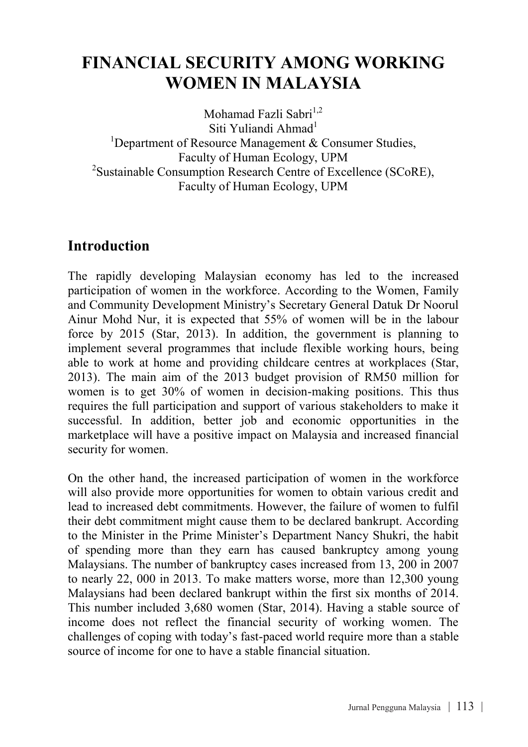# **FINANCIAL SECURITY AMONG WORKING WOMEN IN MALAYSIA**

Mohamad Fazli Sabri $^{1,2}$ Siti Yuliandi Ahmad $<sup>1</sup>$ </sup> <sup>1</sup>Department of Resource Management  $\&$  Consumer Studies, Faculty of Human Ecology, UPM<br><sup>2</sup>Sustainable Consumption Research Centre of Excellence (SCoRE), Faculty of Human Ecology, UPM

### **Introduction**

The rapidly developing Malaysian economy has led to the increased participation of women in the workforce. According to the Women, Family and Community Development Ministry's Secretary General Datuk Dr Noorul Ainur Mohd Nur, it is expected that 55% of women will be in the labour force by 2015 (Star, 2013). In addition, the government is planning to implement several programmes that include flexible working hours, being able to work at home and providing childcare centres at workplaces (Star, 2013). The main aim of the 2013 budget provision of RM50 million for women is to get 30% of women in decision-making positions. This thus requires the full participation and support of various stakeholders to make it successful. In addition, better job and economic opportunities in the marketplace will have a positive impact on Malaysia and increased financial security for women.

On the other hand, the increased participation of women in the workforce will also provide more opportunities for women to obtain various credit and lead to increased debt commitments. However, the failure of women to fulfil their debt commitment might cause them to be declared bankrupt. According to the Minister in the Prime Minister's Department Nancy Shukri, the habit of spending more than they earn has caused bankruptcy among young Malaysians. The number of bankruptcy cases increased from 13, 200 in 2007 to nearly 22, 000 in 2013. To make matters worse, more than 12,300 young Malaysians had been declared bankrupt within the first six months of 2014. This number included 3,680 women (Star, 2014). Having a stable source of income does not reflect the financial security of working women. The challenges of coping with today's fast-paced world require more than a stable source of income for one to have a stable financial situation.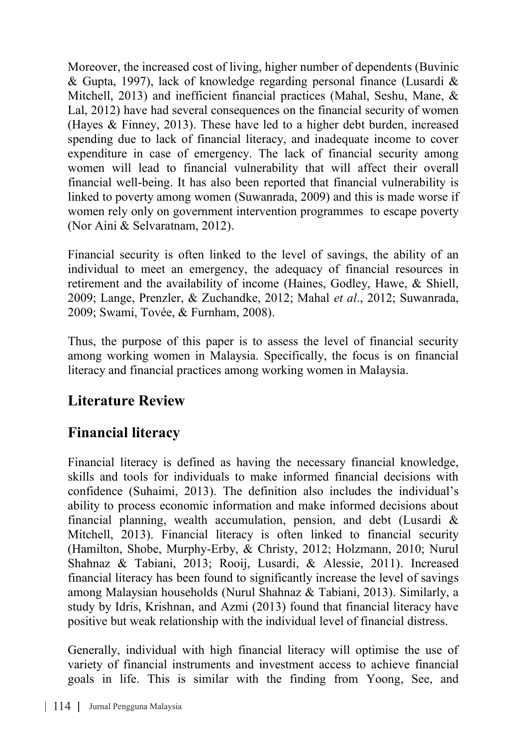Moreover, the increased cost of living, higher number of dependents (Buvinic & Gupta, 1997), lack of knowledge regarding personal finance (Lusardi & Mitchell, 2013) and inefficient financial practices (Mahal, Seshu, Mane, & Lal, 2012) have had several consequences on the financial security of women (Hayes & Finney, 2013). These have led to a higher debt burden, increased spending due to lack of financial literacy, and inadequate income to cover expenditure in case of emergency. The lack of financial security among women will lead to financial vulnerability that will affect their overall financial well-being. It has also been reported that financial vulnerability is linked to poverty among women (Suwanrada, 2009) and this is made worse if women rely only on government intervention programmes to escape poverty (Nor Aini & Selvaratnam, 2012).

Financial security is often linked to the level of savings, the ability of an individual to meet an emergency, the adequacy of financial resources in retirement and the availability of income (Haines, Godley, Hawe, & Shiell, 2009; Lange, Prenzler, & Zuchandke, 2012; Mahal *et al*., 2012; Suwanrada, 2009; Swami, Tovée, & Furnham, 2008).

Thus, the purpose of this paper is to assess the level of financial security among working women in Malaysia. Specifically, the focus is on financial literacy and financial practices among working women in Malaysia.

# **Literature Review**

# **Financial literacy**

Financial literacy is defined as having the necessary financial knowledge, skills and tools for individuals to make informed financial decisions with confidence (Suhaimi, 2013). The definition also includes the individual's ability to process economic information and make informed decisions about financial planning, wealth accumulation, pension, and debt (Lusardi  $\&$ Mitchell, 2013). Financial literacy is often linked to financial security (Hamilton, Shobe, Murphy-Erby, & Christy, 2012; Holzmann, 2010; Nurul Shahnaz & Tabiani, 2013; Rooij, Lusardi, & Alessie, 2011). Increased financial literacy has been found to significantly increase the level of savings among Malaysian households (Nurul Shahnaz & Tabiani, 2013). Similarly, a study by Idris, Krishnan, and Azmi (2013) found that financial literacy have positive but weak relationship with the individual level of financial distress.

Generally, individual with high financial literacy will optimise the use of variety of financial instruments and investment access to achieve financial goals in life. This is similar with the finding from Yoong, See, and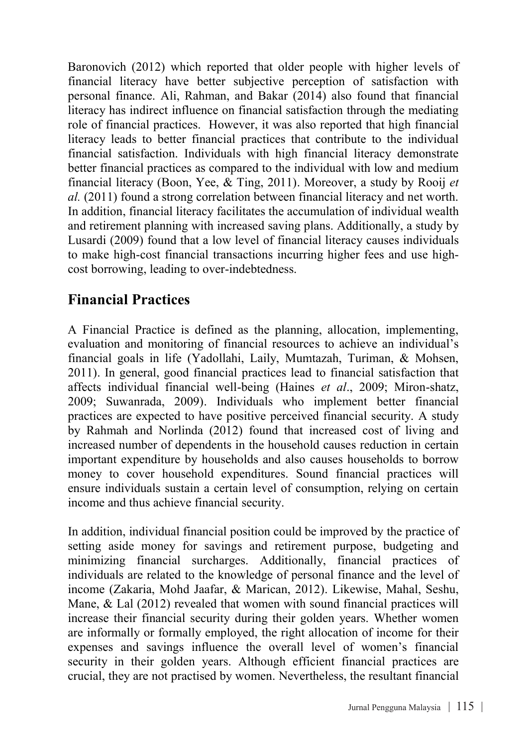Baronovich (2012) which reported that older people with higher levels of financial literacy have better subjective perception of satisfaction with personal finance. Ali, Rahman, and Bakar (2014) also found that financial literacy has indirect influence on financial satisfaction through the mediating role of financial practices. However, it was also reported that high financial literacy leads to better financial practices that contribute to the individual financial satisfaction. Individuals with high financial literacy demonstrate better financial practices as compared to the individual with low and medium financial literacy (Boon, Yee, & Ting, 2011). Moreover, a study by Rooij *et al.* (2011) found a strong correlation between financial literacy and net worth. In addition, financial literacy facilitates the accumulation of individual wealth and retirement planning with increased saving plans. Additionally, a study by Lusardi (2009) found that a low level of financial literacy causes individuals to make high-cost financial transactions incurring higher fees and use highcost borrowing, leading to over-indebtedness.

### **Financial Practices**

A Financial Practice is defined as the planning, allocation, implementing, evaluation and monitoring of financial resources to achieve an individual's financial goals in life (Yadollahi, Laily, Mumtazah, Turiman, & Mohsen, 2011). In general, good financial practices lead to financial satisfaction that affects individual financial well-being (Haines *et al*., 2009; Miron-shatz, 2009; Suwanrada, 2009). Individuals who implement better financial practices are expected to have positive perceived financial security. A study by Rahmah and Norlinda (2012) found that increased cost of living and increased number of dependents in the household causes reduction in certain important expenditure by households and also causes households to borrow money to cover household expenditures. Sound financial practices will ensure individuals sustain a certain level of consumption, relying on certain income and thus achieve financial security.

In addition, individual financial position could be improved by the practice of setting aside money for savings and retirement purpose, budgeting and minimizing financial surcharges. Additionally, financial practices of individuals are related to the knowledge of personal finance and the level of income (Zakaria, Mohd Jaafar, & Marican, 2012). Likewise, Mahal, Seshu, Mane, & Lal (2012) revealed that women with sound financial practices will increase their financial security during their golden years. Whether women are informally or formally employed, the right allocation of income for their expenses and savings influence the overall level of women's financial security in their golden years. Although efficient financial practices are crucial, they are not practised by women. Nevertheless, the resultant financial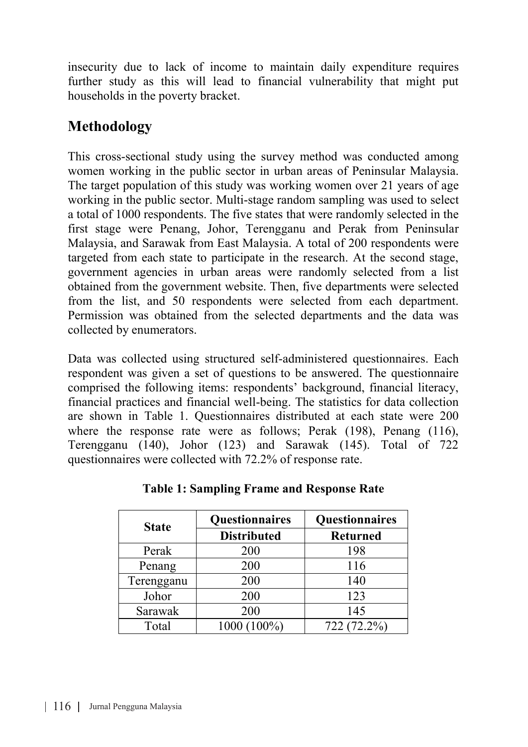insecurity due to lack of income to maintain daily expenditure requires further study as this will lead to financial vulnerability that might put households in the poverty bracket.

### **Methodology**

This cross-sectional study using the survey method was conducted among women working in the public sector in urban areas of Peninsular Malaysia. The target population of this study was working women over 21 years of age working in the public sector. Multi-stage random sampling was used to select a total of 1000 respondents. The five states that were randomly selected in the first stage were Penang, Johor, Terengganu and Perak from Peninsular Malaysia, and Sarawak from East Malaysia. A total of 200 respondents were targeted from each state to participate in the research. At the second stage, government agencies in urban areas were randomly selected from a list obtained from the government website. Then, five departments were selected from the list, and 50 respondents were selected from each department. Permission was obtained from the selected departments and the data was collected by enumerators.

Data was collected using structured self-administered questionnaires. Each respondent was given a set of questions to be answered. The questionnaire comprised the following items: respondents' background, financial literacy, financial practices and financial well-being. The statistics for data collection are shown in Table 1. Questionnaires distributed at each state were 200 where the response rate were as follows; Perak (198), Penang (116), Terengganu (140), Johor (123) and Sarawak (145). Total of 722 questionnaires were collected with 72.2% of response rate.

| <b>State</b> | Questionnaires     | Questionnaires  |  |
|--------------|--------------------|-----------------|--|
|              | <b>Distributed</b> | <b>Returned</b> |  |
| Perak        | 200                | 198             |  |
| Penang       | 200                | 116             |  |
| Terengganu   | 200                | 140             |  |
| Johor        | 200                | 123             |  |
| Sarawak      | 200                | 145             |  |
| Total        | 1000 (100%)        | 722 (72.2%)     |  |

**Table 1: Sampling Frame and Response Rate**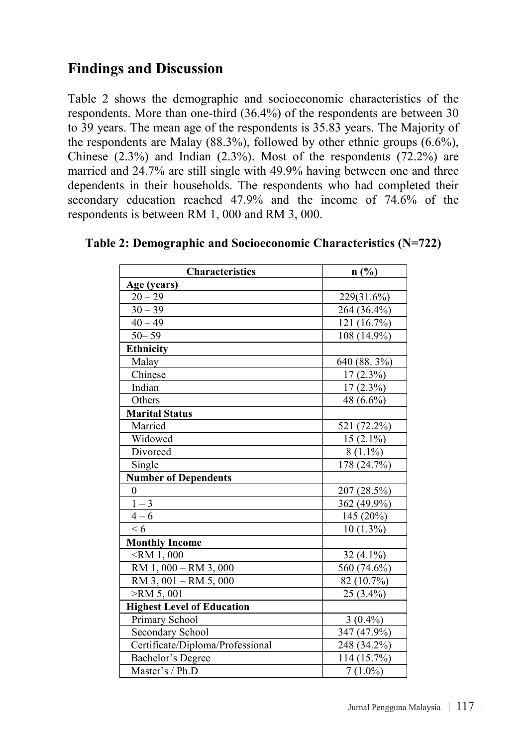### **Findings and Discussion**

Table 2 shows the demographic and socioeconomic characteristics of the respondents. More than one-third (36.4%) of the respondents are between 30 to 39 years. The mean age of the respondents is 35.83 years. The Majority of the respondents are Malay (88.3%), followed by other ethnic groups  $(6.6\%)$ . Chinese  $(2.3\%)$  and Indian  $(2.3\%)$ . Most of the respondents  $(72.2\%)$  are married and 24.7% are still single with 49.9% having between one and three dependents in their households. The respondents who had completed their secondary education reached 47.9% and the income of 74.6% of the respondents is between RM 1, 000 and RM 3, 000.

| Characteristics                   | $n$ (%)     |
|-----------------------------------|-------------|
| Age (years)                       |             |
| $20 - 29$                         | 229(31.6%)  |
| $30 - 39$                         | 264 (36.4%) |
| $40 - 49$                         | 121 (16.7%) |
| $50 - 59$                         | 108 (14.9%) |
| <b>Ethnicity</b>                  |             |
| Malay                             | 640 (88.3%) |
| Chinese                           | $17(2.3\%)$ |
| Indian                            | $17(2.3\%)$ |
| Others                            | 48 (6.6%)   |
| Marital Status                    |             |
| Married                           | 521 (72.2%) |
| Widowed                           | $15(2.1\%)$ |
| Divorced                          | $8(1.1\%)$  |
| Single                            | 178 (24.7%) |
| <b>Number of Dependents</b>       |             |
| $\Omega$                          | 207 (28.5%) |
| $1 - 3$                           | 362 (49.9%) |
| $4 - 6$                           | 145 (20%)   |
| $\leq 6$                          | $10(1.3\%)$ |
| Monthly Income                    |             |
| $<$ RM 1,000                      | $32(4.1\%)$ |
| RM 1, 000 - RM 3, 000             | 560 (74.6%) |
| RM 3, 001 - RM 5, 000             | 82 (10.7%)  |
| $>$ RM 5,001                      | 25 (3.4%)   |
| <b>Highest Level of Education</b> |             |
| Primary School                    | $3(0.4\%)$  |
| Secondary School                  | 347 (47.9%) |
| Certificate/Diploma/Professional  | 248 (34.2%) |
| Bachelor's Degree                 | 114 (15.7%) |
| Master's / Ph.D                   | $7(1.0\%)$  |
|                                   |             |

#### **Table 2: Demographic and Socioeconomic Characteristics (N=722)**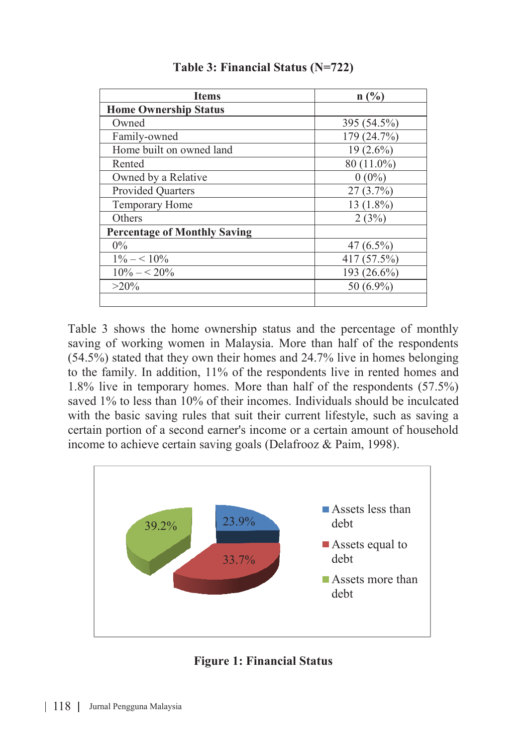| <b>Items</b>                        | n(%)         |
|-------------------------------------|--------------|
| <b>Home Ownership Status</b>        |              |
| Owned                               | 395 (54.5%)  |
| Family-owned                        | 179 (24.7%)  |
| Home built on owned land            | $19(2.6\%)$  |
| Rented                              | 80 (11.0%)   |
| Owned by a Relative                 | $0(0\%)$     |
| <b>Provided Quarters</b>            | 27(3.7%)     |
| Temporary Home                      | $13(1.8\%)$  |
| Others                              | 2(3%)        |
| <b>Percentage of Monthly Saving</b> |              |
| $0\%$                               | $47(6.5\%)$  |
| $1\% - 10\%$                        | 417 (57.5%)  |
| $10\% - 5.20\%$                     | 193 (26.6%)  |
| $>20\%$                             | 50 $(6.9\%)$ |
|                                     |              |

**Table 3: Financial Status (N=722)**

Table 3 shows the home ownership status and the percentage of monthly saving of working women in Malaysia. More than half of the respondents (54.5%) stated that they own their homes and 24.7% live in homes belonging to the family. In addition, 11% of the respondents live in rented homes and 1.8% live in temporary homes. More than half of the respondents (57.5%) saved 1% to less than 10% of their incomes. Individuals should be inculcated with the basic saving rules that suit their current lifestyle, such as saving a certain portion of a second earner's income or a certain amount of household income to achieve certain saving goals (Delafrooz & Paim, 1998).



**Figure 1: Financial Status**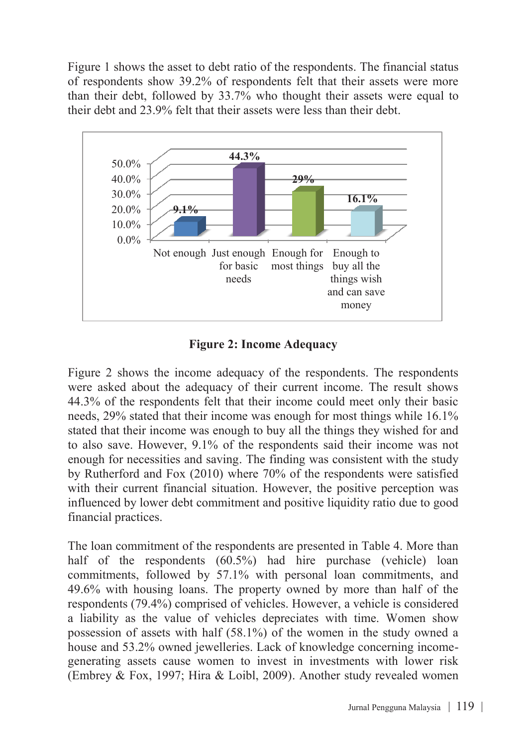Figure 1 shows the asset to debt ratio of the respondents. The financial status of respondents show 39.2% of respondents felt that their assets were more than their debt, followed by 33.7% who thought their assets were equal to their debt and 23.9% felt that their assets were less than their debt.



#### **Figure 2: Income Adequacy**

Figure 2 shows the income adequacy of the respondents. The respondents were asked about the adequacy of their current income. The result shows 44.3% of the respondents felt that their income could meet only their basic needs, 29% stated that their income was enough for most things while 16.1% stated that their income was enough to buy all the things they wished for and to also save. However, 9.1% of the respondents said their income was not enough for necessities and saving. The finding was consistent with the study by Rutherford and Fox (2010) where 70% of the respondents were satisfied with their current financial situation. However, the positive perception was influenced by lower debt commitment and positive liquidity ratio due to good financial practices.

The loan commitment of the respondents are presented in Table 4. More than half of the respondents (60.5%) had hire purchase (vehicle) loan commitments, followed by 57.1% with personal loan commitments, and 49.6% with housing loans. The property owned by more than half of the respondents (79.4%) comprised of vehicles. However, a vehicle is considered a liability as the value of vehicles depreciates with time. Women show possession of assets with half (58.1%) of the women in the study owned a house and 53.2% owned jewelleries. Lack of knowledge concerning incomegenerating assets cause women to invest in investments with lower risk (Embrey & Fox, 1997; Hira & Loibl, 2009). Another study revealed women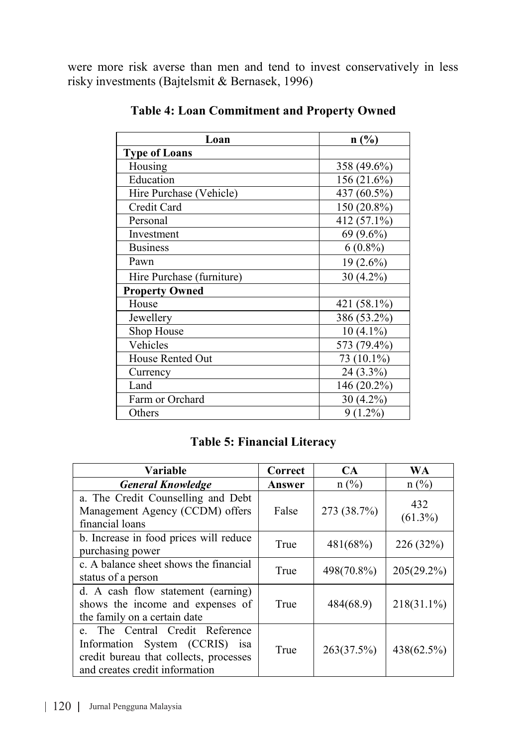were more risk averse than men and tend to invest conservatively in less risky investments (Bajtelsmit & Bernasek, 1996)

| Loan                      | n(%)          |
|---------------------------|---------------|
| <b>Type of Loans</b>      |               |
| Housing                   | 358 (49.6%)   |
| Education                 | $156(21.6\%)$ |
| Hire Purchase (Vehicle)   | 437 (60.5%)   |
| Credit Card               | 150 (20.8%)   |
| Personal                  | 412 (57.1%)   |
| Investment                | 69 (9.6%)     |
| <b>Business</b>           | $6(0.8\%)$    |
| Pawn                      | $19(2.6\%)$   |
| Hire Purchase (furniture) | $30(4.2\%)$   |
| <b>Property Owned</b>     |               |
| House                     | 421 (58.1%)   |
| Jewellery                 | 386 (53.2%)   |
| Shop House                | $10(4.1\%)$   |
| Vehicles                  | 573 (79.4%)   |
| House Rented Out          | 73 (10.1%)    |
| Currency                  | 24 (3.3%)     |
| Land                      | 146 (20.2%)   |
| Farm or Orchard           | $30(4.2\%)$   |
| Others                    | $9(1.2\%)$    |

**Table 4: Loan Commitment and Property Owned**

#### **Table 5: Financial Literacy**

| Variable                                                                                                                                         | Correct | <b>CA</b>   | WA                |
|--------------------------------------------------------------------------------------------------------------------------------------------------|---------|-------------|-------------------|
| <b>General Knowledge</b>                                                                                                                         | Answer  | $n$ (%)     | $n$ (%)           |
| a. The Credit Counselling and Debt<br>Management Agency (CCDM) offers<br>financial loans                                                         | False   | 273 (38.7%) | 432<br>$(61.3\%)$ |
| b. Increase in food prices will reduce<br>purchasing power                                                                                       | True    | 481(68%)    | 226 (32%)         |
| c. A balance sheet shows the financial<br>status of a person                                                                                     | True    | 498(70.8%)  | $205(29.2\%)$     |
| d. A cash flow statement (earning)<br>shows the income and expenses of<br>the family on a certain date                                           | True    | 484(68.9)   | $218(31.1\%)$     |
| The Central Credit Reference<br>e<br>Information System (CCRIS) is a<br>credit bureau that collects, processes<br>and creates credit information | True    | 263(37.5%)  | 438(62.5%)        |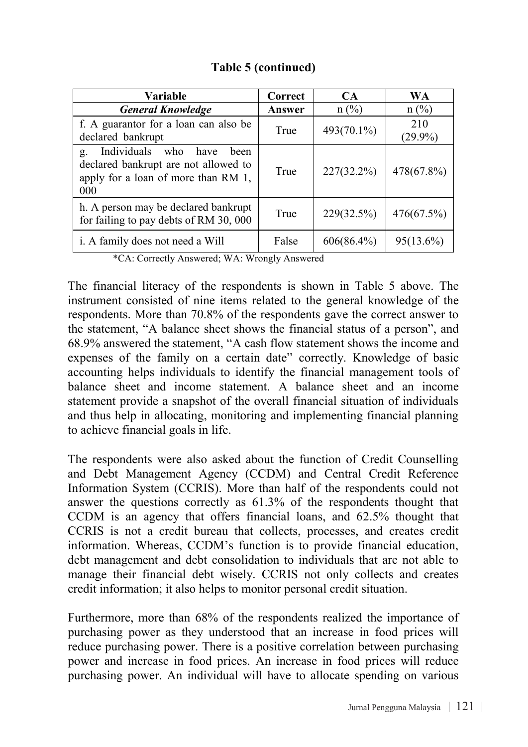|  |  | Table 5 (continued) |  |
|--|--|---------------------|--|
|--|--|---------------------|--|

| Variable                                                                                                                    | Correct | CA            | <b>WA</b>         |
|-----------------------------------------------------------------------------------------------------------------------------|---------|---------------|-------------------|
| <b>General Knowledge</b>                                                                                                    | Answer  | $n (\%)$      | $n (\%)$          |
| f. A guarantor for a loan can also be<br>declared bankrupt                                                                  | True    | 493(70.1%)    | 210<br>$(29.9\%)$ |
| Individuals who<br>have<br>heen<br>g.<br>declared bankrupt are not allowed to<br>apply for a loan of more than RM 1,<br>000 | True    | $227(32.2\%)$ | 478(67.8%)        |
| h. A person may be declared bankrupt<br>for failing to pay debts of RM 30, 000                                              | True    | 229(32.5%)    | 476(67.5%)        |
| <i>i.</i> A family does not need a Will                                                                                     | False   | $606(86.4\%)$ | $95(13.6\%)$      |

\*CA: Correctly Answered; WA: Wrongly Answered

The financial literacy of the respondents is shown in Table 5 above. The instrument consisted of nine items related to the general knowledge of the respondents. More than 70.8% of the respondents gave the correct answer to the statement, "A balance sheet shows the financial status of a person", and 68.9% answered the statement, "A cash flow statement shows the income and expenses of the family on a certain date" correctly. Knowledge of basic accounting helps individuals to identify the financial management tools of balance sheet and income statement. A balance sheet and an income statement provide a snapshot of the overall financial situation of individuals and thus help in allocating, monitoring and implementing financial planning to achieve financial goals in life.

The respondents were also asked about the function of Credit Counselling and Debt Management Agency (CCDM) and Central Credit Reference Information System (CCRIS). More than half of the respondents could not answer the questions correctly as 61.3% of the respondents thought that CCDM is an agency that offers financial loans, and 62.5% thought that CCRIS is not a credit bureau that collects, processes, and creates credit information. Whereas, CCDM's function is to provide financial education, debt management and debt consolidation to individuals that are not able to manage their financial debt wisely. CCRIS not only collects and creates credit information; it also helps to monitor personal credit situation.

Furthermore, more than 68% of the respondents realized the importance of purchasing power as they understood that an increase in food prices will reduce purchasing power. There is a positive correlation between purchasing power and increase in food prices. An increase in food prices will reduce purchasing power. An individual will have to allocate spending on various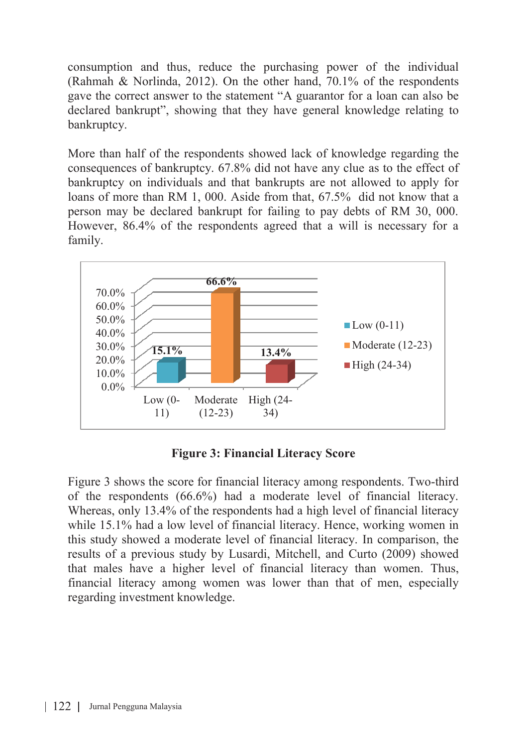consumption and thus, reduce the purchasing power of the individual (Rahmah & Norlinda, 2012). On the other hand, 70.1% of the respondents gave the correct answer to the statement "A guarantor for a loan can also be declared bankrupt", showing that they have general knowledge relating to bankruptcy.

More than half of the respondents showed lack of knowledge regarding the consequences of bankruptcy. 67.8% did not have any clue as to the effect of bankruptcy on individuals and that bankrupts are not allowed to apply for loans of more than RM 1, 000. Aside from that, 67.5% did not know that a person may be declared bankrupt for failing to pay debts of RM 30, 000. However, 86.4% of the respondents agreed that a will is necessary for a family.



**Figure 3: Financial Literacy Score**

Figure 3 shows the score for financial literacy among respondents. Two-third of the respondents (66.6%) had a moderate level of financial literacy. Whereas, only 13.4% of the respondents had a high level of financial literacy while 15.1% had a low level of financial literacy. Hence, working women in this study showed a moderate level of financial literacy. In comparison, the results of a previous study by Lusardi, Mitchell, and Curto (2009) showed that males have a higher level of financial literacy than women. Thus, financial literacy among women was lower than that of men, especially regarding investment knowledge.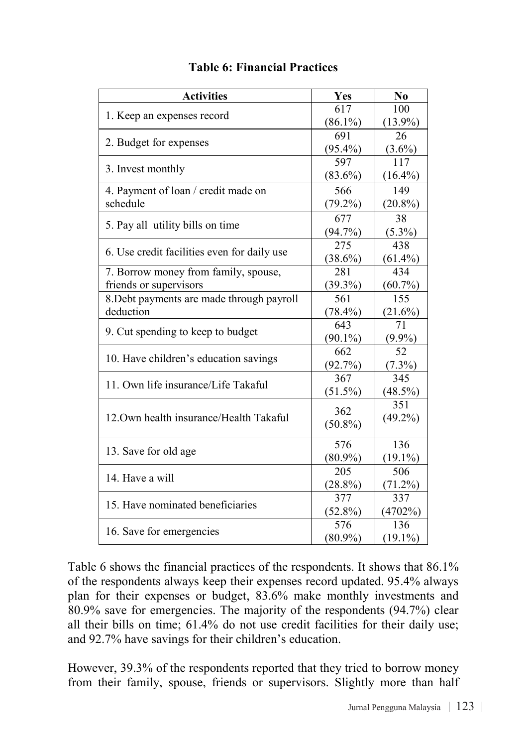| <b>Activities</b>                           | Yes        | N <sub>0</sub> |
|---------------------------------------------|------------|----------------|
| 1. Keep an expenses record                  | 617        | 100            |
|                                             | $(86.1\%)$ | $(13.9\%)$     |
| 2. Budget for expenses                      | 691        | 26             |
|                                             | $(95.4\%)$ | $(3.6\%)$      |
| 3. Invest monthly                           | 597        | 117            |
|                                             | $(83.6\%)$ | $(16.4\%)$     |
| 4. Payment of loan / credit made on         | 566        | 149            |
| schedule                                    | $(79.2\%)$ | $(20.8\%)$     |
|                                             | 677        | 38             |
| 5. Pay all utility bills on time            | $(94.7\%)$ | $(5.3\%)$      |
|                                             | 275        | 438            |
| 6. Use credit facilities even for daily use | $(38.6\%)$ | $(61.4\%)$     |
| 7. Borrow money from family, spouse,        | 281        | 434            |
| friends or supervisors                      | $(39.3\%)$ | $(60.7\%)$     |
| 8. Debt payments are made through payroll   | 561        | 155            |
| deduction                                   | $(78.4\%)$ | $(21.6\%)$     |
|                                             | 643        | 71             |
| 9. Cut spending to keep to budget           | $(90.1\%)$ | $(9.9\%)$      |
|                                             | 662        | 52             |
| 10. Have children's education savings       | (92.7%)    | $(7.3\%)$      |
| 11. Own life insurance/Life Takaful         | 367        | 345            |
|                                             | $(51.5\%)$ | (48.5%)        |
|                                             | 362        | 351            |
| 12. Own health insurance/Health Takaful     | $(50.8\%)$ | $(49.2\%)$     |
|                                             |            |                |
| 13. Save for old age                        | 576        | 136            |
|                                             | $(80.9\%)$ | $(19.1\%)$     |
| 14. Have a will                             | 205        | 506            |
|                                             | $(28.8\%)$ | (71.2%)        |
| 15. Have nominated beneficiaries            | 377        | 337            |
|                                             | $(52.8\%)$ | (4702%)        |
| 16. Save for emergencies                    | 576        | 136            |
|                                             | $(80.9\%)$ | $(19.1\%)$     |

#### **Table 6: Financial Practices**

Table 6 shows the financial practices of the respondents. It shows that 86.1% of the respondents always keep their expenses record updated. 95.4% always plan for their expenses or budget, 83.6% make monthly investments and 80.9% save for emergencies. The majority of the respondents (94.7%) clear all their bills on time; 61.4% do not use credit facilities for their daily use; and 92.7% have savings for their children's education.

However, 39.3% of the respondents reported that they tried to borrow money from their family, spouse, friends or supervisors. Slightly more than half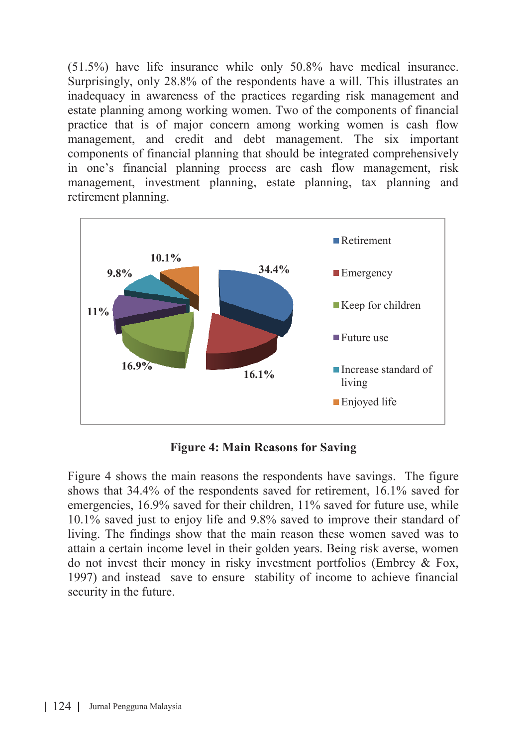(51.5%) have life insurance while only 50.8% have medical insurance. Surprisingly, only 28.8% of the respondents have a will. This illustrates an inadequacy in awareness of the practices regarding risk management and estate planning among working women. Two of the components of financial practice that is of major concern among working women is cash flow management, and credit and debt management. The six important components of financial planning that should be integrated comprehensively in one's financial planning process are cash flow management, risk management, investment planning, estate planning, tax planning and retirement planning.



**Figure 4: Main Reasons for Saving**

Figure 4 shows the main reasons the respondents have savings. The figure shows that 34.4% of the respondents saved for retirement, 16.1% saved for emergencies, 16.9% saved for their children, 11% saved for future use, while 10.1% saved just to enjoy life and 9.8% saved to improve their standard of living. The findings show that the main reason these women saved was to attain a certain income level in their golden years. Being risk averse, women do not invest their money in risky investment portfolios (Embrey & Fox, 1997) and instead save to ensure stability of income to achieve financial security in the future.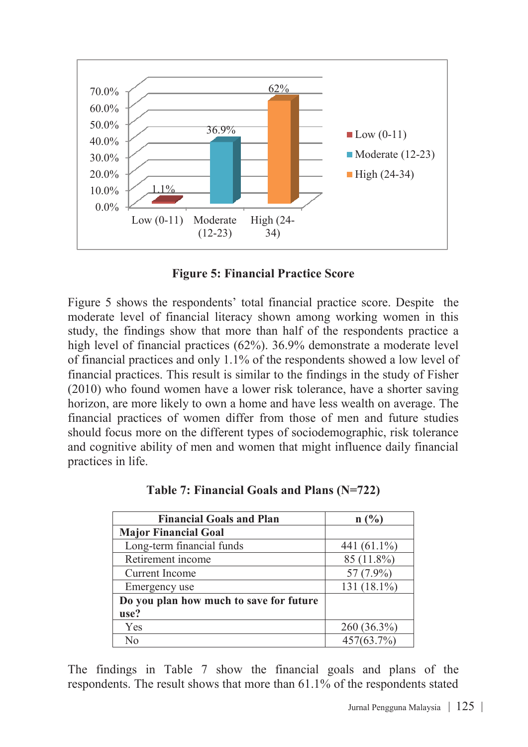

**Figure 5: Financial Practice Score**

Figure 5 shows the respondents' total financial practice score. Despite the moderate level of financial literacy shown among working women in this study, the findings show that more than half of the respondents practice a high level of financial practices (62%). 36.9% demonstrate a moderate level of financial practices and only 1.1% of the respondents showed a low level of financial practices. This result is similar to the findings in the study of Fisher (2010) who found women have a lower risk tolerance, have a shorter saving horizon, are more likely to own a home and have less wealth on average. The financial practices of women differ from those of men and future studies should focus more on the different types of sociodemographic, risk tolerance and cognitive ability of men and women that might influence daily financial practices in life.

| <b>Financial Goals and Plan</b>         | n(%)           |
|-----------------------------------------|----------------|
| <b>Major Financial Goal</b>             |                |
| Long-term financial funds               | 441 $(61.1\%)$ |
| Retirement income                       | 85 (11.8%)     |
| Current Income                          | 57 (7.9%)      |
| Emergency use                           | 131 (18.1%)    |
| Do you plan how much to save for future |                |
| use?                                    |                |
| Yes                                     | 260 (36.3%)    |
| No                                      | 457(63.7%)     |

**Table 7: Financial Goals and Plans (N=722)**

The findings in Table 7 show the financial goals and plans of the respondents. The result shows that more than 61.1% of the respondents stated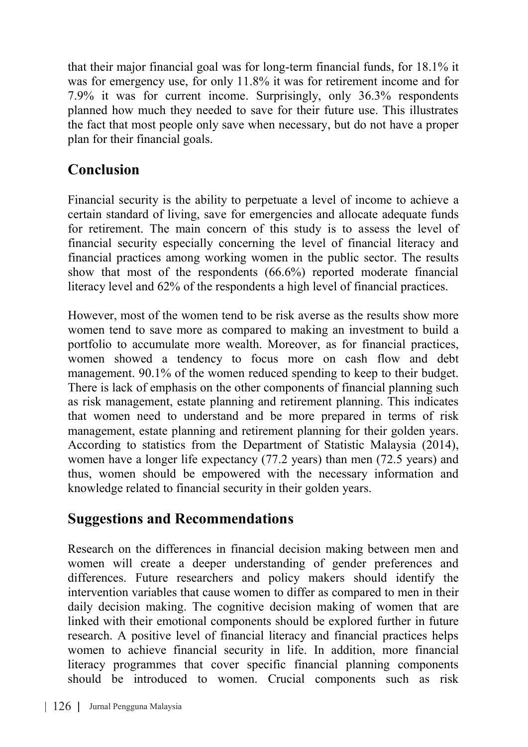that their major financial goal was for long-term financial funds, for 18.1% it was for emergency use, for only 11.8% it was for retirement income and for 7.9% it was for current income. Surprisingly, only 36.3% respondents planned how much they needed to save for their future use. This illustrates the fact that most people only save when necessary, but do not have a proper plan for their financial goals.

# **Conclusion**

Financial security is the ability to perpetuate a level of income to achieve a certain standard of living, save for emergencies and allocate adequate funds for retirement. The main concern of this study is to assess the level of financial security especially concerning the level of financial literacy and financial practices among working women in the public sector. The results show that most of the respondents (66.6%) reported moderate financial literacy level and 62% of the respondents a high level of financial practices.

However, most of the women tend to be risk averse as the results show more women tend to save more as compared to making an investment to build a portfolio to accumulate more wealth. Moreover, as for financial practices, women showed a tendency to focus more on cash flow and debt management. 90.1% of the women reduced spending to keep to their budget. There is lack of emphasis on the other components of financial planning such as risk management, estate planning and retirement planning. This indicates that women need to understand and be more prepared in terms of risk management, estate planning and retirement planning for their golden years. According to statistics from the Department of Statistic Malaysia (2014), women have a longer life expectancy (77.2 years) than men (72.5 years) and thus, women should be empowered with the necessary information and knowledge related to financial security in their golden years.

### **Suggestions and Recommendations**

Research on the differences in financial decision making between men and women will create a deeper understanding of gender preferences and differences. Future researchers and policy makers should identify the intervention variables that cause women to differ as compared to men in their daily decision making. The cognitive decision making of women that are linked with their emotional components should be explored further in future research. A positive level of financial literacy and financial practices helps women to achieve financial security in life. In addition, more financial literacy programmes that cover specific financial planning components should be introduced to women. Crucial components such as risk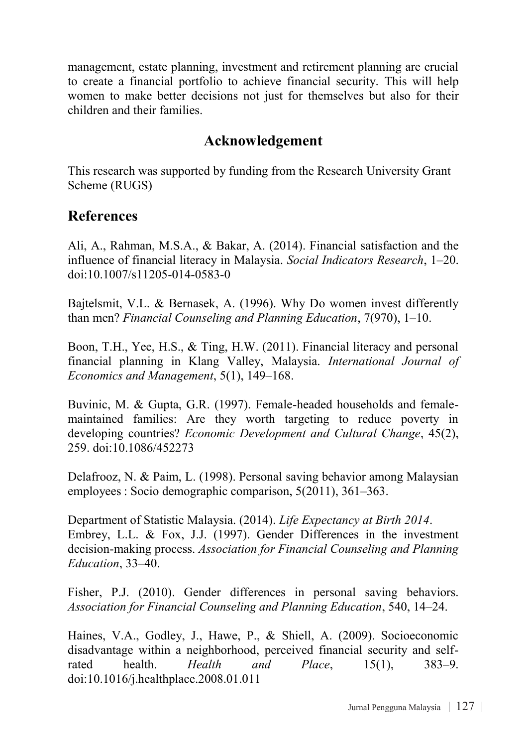management, estate planning, investment and retirement planning are crucial to create a financial portfolio to achieve financial security. This will help women to make better decisions not just for themselves but also for their children and their families.

### **Acknowledgement**

This research was supported by funding from the Research University Grant Scheme (RUGS)

### **References**

Ali, A., Rahman, M.S.A., & Bakar, A. (2014). Financial satisfaction and the influence of financial literacy in Malaysia. *Social Indicators Research*, 1–20. doi:10.1007/s11205-014-0583-0

Bajtelsmit, V.L. & Bernasek, A. (1996). Why Do women invest differently than men? *Financial Counseling and Planning Education*, 7(970), 1–10.

Boon, T.H., Yee, H.S., & Ting, H.W. (2011). Financial literacy and personal financial planning in Klang Valley, Malaysia. *International Journal of Economics and Management*, 5(1), 149–168.

Buvinic, M. & Gupta, G.R. (1997). Female-headed households and femalemaintained families: Are they worth targeting to reduce poverty in developing countries? *Economic Development and Cultural Change*, 45(2), 259. doi:10.1086/452273

Delafrooz, N. & Paim, L. (1998). Personal saving behavior among Malaysian employees : Socio demographic comparison, 5(2011), 361–363.

Department of Statistic Malaysia. (2014). *Life Expectancy at Birth 2014*. Embrey, L.L. & Fox, J.J. (1997). Gender Differences in the investment decision-making process. *Association for Financial Counseling and Planning Education*, 33–40.

Fisher, P.J. (2010). Gender differences in personal saving behaviors. *Association for Financial Counseling and Planning Education*, 540, 14–24.

Haines, V.A., Godley, J., Hawe, P., & Shiell, A. (2009). Socioeconomic disadvantage within a neighborhood, perceived financial security and selfrated health. *Health and Place*, 15(1), 383–9. doi:10.1016/j.healthplace.2008.01.011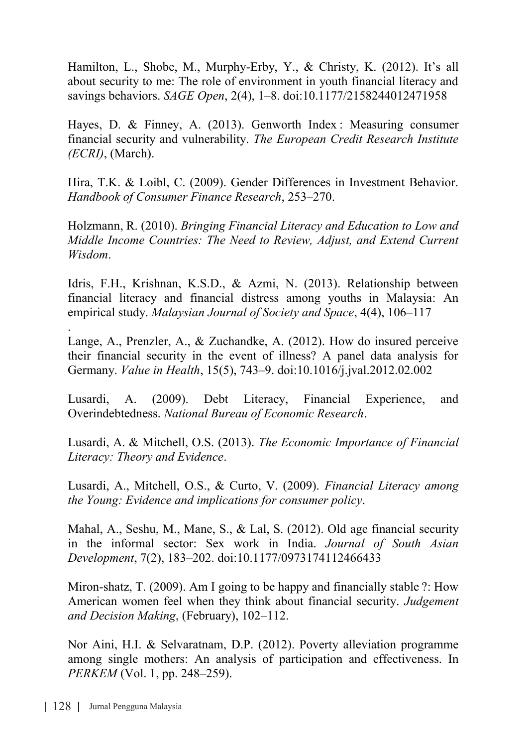Hamilton, L., Shobe, M., Murphy-Erby, Y., & Christy, K. (2012). It's all about security to me: The role of environment in youth financial literacy and savings behaviors. *SAGE Open*, 2(4), 1–8. doi:10.1177/2158244012471958

Hayes, D. & Finney, A. (2013). Genworth Index : Measuring consumer financial security and vulnerability. *The European Credit Research Institute (ECRI)*, (March).

Hira, T.K. & Loibl, C. (2009). Gender Differences in Investment Behavior. *Handbook of Consumer Finance Research*, 253–270.

Holzmann, R. (2010). *Bringing Financial Literacy and Education to Low and Middle Income Countries: The Need to Review, Adjust, and Extend Current Wisdom*.

Idris, F.H., Krishnan, K.S.D., & Azmi, N. (2013). Relationship between financial literacy and financial distress among youths in Malaysia: An empirical study. *Malaysian Journal of Society and Space*, 4(4), 106–117

. Lange, A., Prenzler, A., & Zuchandke, A. (2012). How do insured perceive their financial security in the event of illness? A panel data analysis for Germany. *Value in Health*, 15(5), 743–9. doi:10.1016/j.jval.2012.02.002

Lusardi, A. (2009). Debt Literacy, Financial Experience, and Overindebtedness. *National Bureau of Economic Research*.

Lusardi, A. & Mitchell, O.S. (2013). *The Economic Importance of Financial Literacy: Theory and Evidence*.

Lusardi, A., Mitchell, O.S., & Curto, V. (2009). *Financial Literacy among the Young: Evidence and implications for consumer policy*.

Mahal, A., Seshu, M., Mane, S., & Lal, S. (2012). Old age financial security in the informal sector: Sex work in India. *Journal of South Asian Development*, 7(2), 183–202. doi:10.1177/0973174112466433

Miron-shatz, T. (2009). Am I going to be happy and financially stable ?: How American women feel when they think about financial security. *Judgement and Decision Making*, (February), 102–112.

Nor Aini, H.I. & Selvaratnam, D.P. (2012). Poverty alleviation programme among single mothers: An analysis of participation and effectiveness. In *PERKEM* (Vol. 1, pp. 248–259).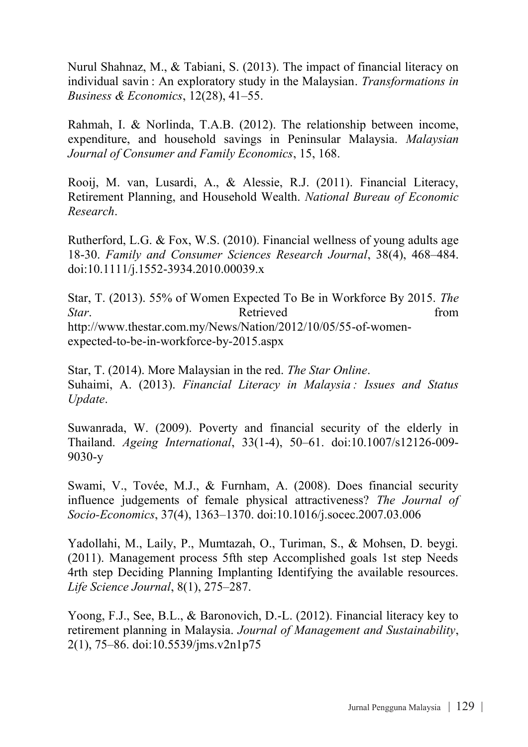Nurul Shahnaz, M., & Tabiani, S. (2013). The impact of financial literacy on individual savin : An exploratory study in the Malaysian. *Transformations in Business & Economics*, 12(28), 41–55.

Rahmah, I. & Norlinda, T.A.B. (2012). The relationship between income, expenditure, and household savings in Peninsular Malaysia. *Malaysian Journal of Consumer and Family Economics*, 15, 168.

Rooij, M. van, Lusardi, A., & Alessie, R.J. (2011). Financial Literacy, Retirement Planning, and Household Wealth. *National Bureau of Economic Research*.

Rutherford, L.G. & Fox, W.S. (2010). Financial wellness of young adults age 18-30. *Family and Consumer Sciences Research Journal*, 38(4), 468–484. doi:10.1111/j.1552-3934.2010.00039.x

Star, T. (2013). 55% of Women Expected To Be in Workforce By 2015. *The Star.* **Retrieved here from** http://www.thestar.com.my/News/Nation/2012/10/05/55-of-womenexpected-to-be-in-workforce-by-2015.aspx

Star, T. (2014). More Malaysian in the red. *The Star Online*. Suhaimi, A. (2013). *Financial Literacy in Malaysia : Issues and Status Update*.

Suwanrada, W. (2009). Poverty and financial security of the elderly in Thailand. *Ageing International*, 33(1-4), 50–61. doi:10.1007/s12126-009- 9030-y

Swami, V., Tovée, M.J., & Furnham, A. (2008). Does financial security influence judgements of female physical attractiveness? *The Journal of Socio-Economics*, 37(4), 1363–1370. doi:10.1016/j.socec.2007.03.006

Yadollahi, M., Laily, P., Mumtazah, O., Turiman, S., & Mohsen, D. beygi. (2011). Management process 5fth step Accomplished goals 1st step Needs 4rth step Deciding Planning Implanting Identifying the available resources. *Life Science Journal*, 8(1), 275–287.

Yoong, F.J., See, B.L., & Baronovich, D.-L. (2012). Financial literacy key to retirement planning in Malaysia. *Journal of Management and Sustainability*, 2(1), 75–86. doi:10.5539/jms.v2n1p75